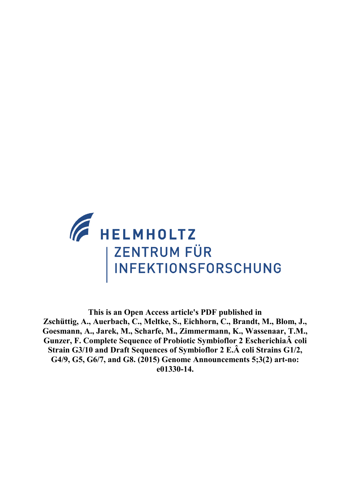

**This is an Open Access article's PDF published in Zschüttig, A., Auerbach, C., Meltke, S., Eichhorn, C., Brandt, M., Blom, J., Goesmann, A., Jarek, M., Scharfe, M., Zimmermann, K., Wassenaar, T.M., Gunzer, F. Complete Sequence of Probiotic Symbioflor 2 EscherichiaÂ coli Strain G3/10 and Draft Sequences of Symbioflor 2 E.Â coli Strains G1/2, G4/9, G5, G6/7, and G8. (2015) Genome Announcements 5;3(2) art-no: e01330-14.**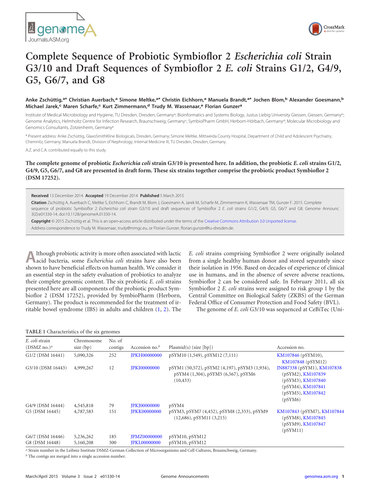



# **Complete Sequence of Probiotic Symbioflor 2** *Escherichia coli* **Strain G3/10 and Draft Sequences of Symbioflor 2** *E. coli* **Strains G1/2, G4/9, G5, G6/7, and G8**

## Anke Zschüttig,<sup>a\*</sup> Christian Auerbach,<sup>a</sup> Simone Meltke,<sup>a\*</sup> Christin Eichhorn,<sup>a</sup> Manuela Brandt,<sup>a\*</sup> Jochen Blom,<sup>b</sup> Alexander Goesmann,<sup>b</sup> **Michael Jarek,<sup>c</sup> Maren Scharfe,<sup>c</sup> Kurt Zimmermann,<sup>d</sup> Trudy M. Wassenaar,<sup>e</sup> Florian Gunzer<sup>a</sup>**

Institute of Medical Microbiology and Hygiene, TU Dresden, Dresden, Germany<sup>a</sup>; Bioinformatics and Systems Biology, Justus Liebig University Giessen, Giessen, Germany<sup>b</sup>; Genome Analytics, Helmholtz Centre for Infection Research, Braunschweig, Germany<sup>c</sup>; SymbioPharm GmbH, Herborn-Hörbach, Germany<sup>d</sup>; Molecular Microbiology and Genomics Consultants, Zotzenheim, Germanye

\* Present address: Anke Zschüttig, GlaxoSmithKline Biologicals, Dresden, Germany; Simone Meltke, Mittweida County Hospital, Department of Child and Adolescent Psychiatry, Chemnitz, Germany; Manuela Brandt, Division of Nephrology, Internal Medicine III, TU Dresden, Dresden, Germany.

A.Z. and C.A. contributed equally to this study.

**The complete genome of probiotic** *Escherichia coli* **strain G3/10 is presented here. In addition, the probiotic** *E. coli* **strains G1/2, G4/9, G5, G6/7, and G8 are presented in draft form. These six strains together comprise the probiotic product Symbioflor 2 (DSM 17252).**

**Received** 13 December 2014 **Accepted** 19 December 2014 **Published** 5 March 2015

**Citation** Zschüttig A, Auerbach C, Meltke S, Eichhorn C, Brandt M, Blom J, Goesmann A, Jarek M, Scharfe M, Zimmermann K, Wassenaar TM, Gunzer F. 2015. Complete sequence of probiotic Symbioflor 2 *Escherichia coli* strain G3/10 and draft sequences of Symbioflor 2 *E. coli* strains G1/2, G4/9, G5, G6/7 and G8. Genome Announc 3(2):e01330-14. doi:10.1128/genomeA.01330-14.

**Copyright** © 2015 Zschüttig et al. This is an open-access article distributed under the terms of the Creative Commons Attribution 3.0 Unported license. Address correspondence to Trudy M. Wassenaar, trudy@mmgc.eu, or Florian Gunzer, florian.gunzer@tu-dresden.de.

**A**lthough probiotic activity is more often associated with lactic acid bacteria, some *Escherichia coli* strains have also been shown to have beneficial effects on human health. We consider it an essential step in the safety evaluation of probiotics to analyze their complete genomic content. The six probiotic *E. coli* strains presented here are all components of the probiotic product Symbioflor 2 (DSM 17252), provided by SymbioPharm (Herborn, Germany). The product is recommended for the treatment of irritable bowel syndrome (IBS) in adults and children [\(1,](#page-2-0) [2\)](#page-2-1). The *E. coli* strains comprising Symbioflor 2 were originally isolated from a single healthy human donor and stored separately since their isolation in 1956. Based on decades of experience of clinical use in humans, and in the absence of severe adverse reactions, Symbioflor 2 can be considered safe. In February 2011, all six Symbioflor 2 *E. coli* strains were assigned to risk group 1 by the Central Committee on Biological Safety (ZKBS) of the German Federal Office of Consumer Protection and Food Safety (BVL).

The genome of *E. coli* G3/10 was sequenced at CeBiTec (Uni-

#### <span id="page-1-0"></span>**TABLE 1** Characteristics of the six genomes

| E. coli strain<br>$(DSMZ$ no.) <sup>a</sup> | Chromosome<br>size $(bp)$ | No. of<br>contigs | Accession no. $b$   | $Plasmid(s)$ (size [bp])                                                                          | Accession no.                                                                                                             |
|---------------------------------------------|---------------------------|-------------------|---------------------|---------------------------------------------------------------------------------------------------|---------------------------------------------------------------------------------------------------------------------------|
| G1/2 (DSM 16441)                            | 5,090,326                 | 252               | <b>JPKH00000000</b> | pSYM10 (1,549), pSYM12 (7,111)                                                                    | KM107846 (pSYM10),<br>KM107848 (pSYM12)                                                                                   |
| G3/10 (DSM 16443)                           | 4,999,267                 | 12                | <b>JPKI00000000</b> | pSYM1 (50,572), pSYM2 (4,197), pSYM3 (1,934),<br>pSYM4 (1,304), pSYM5 (6,567), pSYM6<br>(10, 433) | JN887338 (pSYM1), KM107838<br>(pSYM2), KM107839<br>(pSYM3), KM107840<br>(pSYM4), KM107841<br>(pSYM5), KM107842<br>(pSYM6) |
| G4/9 (DSM 16444)                            | 4,545,818                 | 79                | <b>JPKJ00000000</b> | pSYM4                                                                                             |                                                                                                                           |
| G5 (DSM 16445)                              | 4,787,583                 | 151               | <b>JPKK00000000</b> | pSYM3, pSYM7 (4,452), pSYM8 (2,353), pSYM9<br>$(12,686)$ , pSYM11 $(3,215)$                       | KM107843 (pSYM7), KM107844<br>(pSYM8), KM107845<br>(pSYM9), KM107847<br>(pSYM11)                                          |
| G6/7 (DSM 16446)                            | 5,236,262                 | 185               | <b>JPMZ00000000</b> | pSYM10, pSYM12                                                                                    |                                                                                                                           |
| G8 (DSM 16448)                              | 5,160,208                 | 300               | <b>JPKL00000000</b> | pSYM10, pSYM12                                                                                    |                                                                                                                           |

*a* Strain number in the Leibniz Institute DSMZ-German Collection of Microorganisms and Cell Cultures, Braunschweig, Germany.

*b* The contigs are merged into a single accession number.